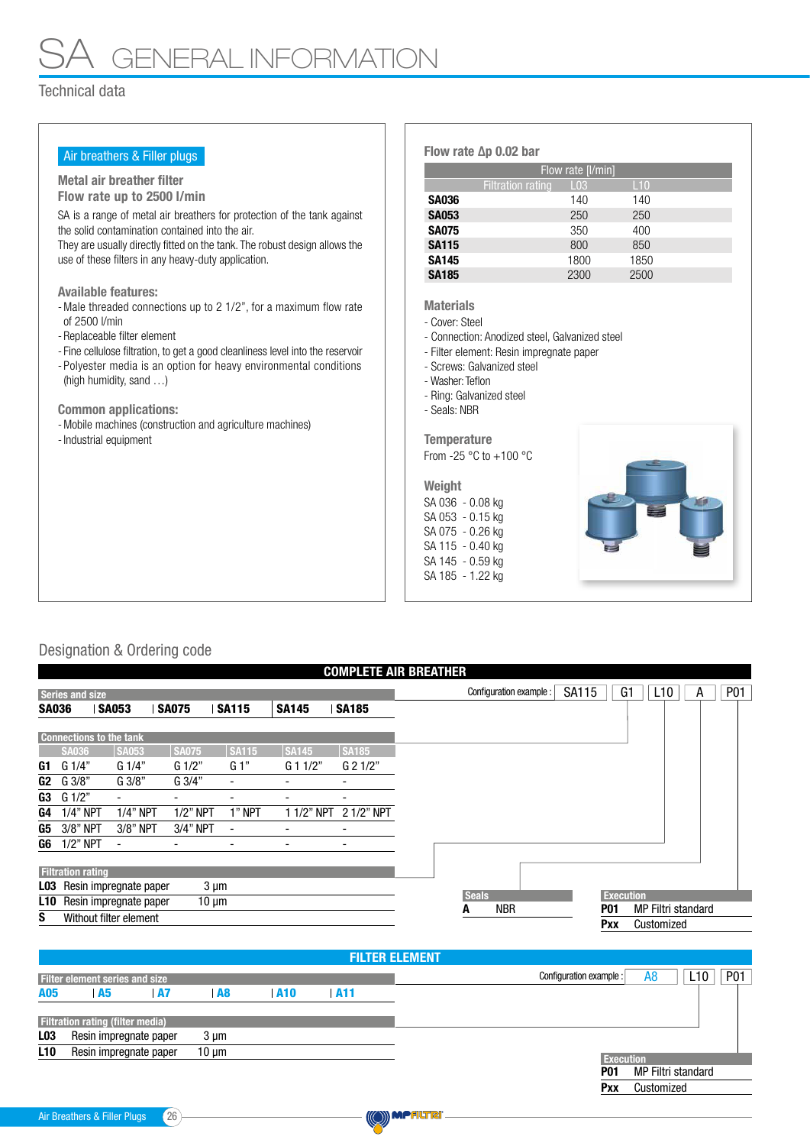## GENERAL INFORMATION

## Technical data

| Air breathers & Filler plugs                                                                                                                                                                                                                                                                                                                                                                                               |                                                                                                                                                                                                                                                                                                                      | Flow rate [I/min]                              |      |
|----------------------------------------------------------------------------------------------------------------------------------------------------------------------------------------------------------------------------------------------------------------------------------------------------------------------------------------------------------------------------------------------------------------------------|----------------------------------------------------------------------------------------------------------------------------------------------------------------------------------------------------------------------------------------------------------------------------------------------------------------------|------------------------------------------------|------|
| Metal air breather filter                                                                                                                                                                                                                                                                                                                                                                                                  |                                                                                                                                                                                                                                                                                                                      | <b>Filtration rating</b><br>L <sub>03</sub>    | L10  |
| Flow rate up to 2500 l/min                                                                                                                                                                                                                                                                                                                                                                                                 | <b>SA036</b>                                                                                                                                                                                                                                                                                                         | 140                                            | 140  |
| SA is a range of metal air breathers for protection of the tank against                                                                                                                                                                                                                                                                                                                                                    | <b>SA053</b>                                                                                                                                                                                                                                                                                                         | 250                                            | 250  |
| the solid contamination contained into the air.                                                                                                                                                                                                                                                                                                                                                                            | <b>SA075</b>                                                                                                                                                                                                                                                                                                         | 350                                            | 400  |
| They are usually directly fitted on the tank. The robust design allows the                                                                                                                                                                                                                                                                                                                                                 | <b>SA115</b>                                                                                                                                                                                                                                                                                                         | 800                                            | 850  |
| use of these filters in any heavy-duty application.                                                                                                                                                                                                                                                                                                                                                                        | <b>SA145</b>                                                                                                                                                                                                                                                                                                         | 1800                                           | 1850 |
|                                                                                                                                                                                                                                                                                                                                                                                                                            | <b>SA185</b>                                                                                                                                                                                                                                                                                                         | 2300                                           | 2500 |
| - Male threaded connections up to 2 1/2", for a maximum flow rate<br>of 2500 l/min<br>- Replaceable filter element<br>- Fine cellulose filtration, to get a good cleanliness level into the reservoir<br>- Polyester media is an option for heavy environmental conditions<br>(high humidity, sand )<br><b>Common applications:</b><br>- Mobile machines (construction and agriculture machines)<br>- Industrial equipment | <b>Materials</b><br>- Cover: Steel<br>- Filter element: Resin impregnate paper<br>- Screws: Galvanized steel<br>- Washer: Teflon<br>- Ring: Galvanized steel<br>- Seals: NBR<br><b>Temperature</b><br>From -25 $\degree$ C to +100 $\degree$ C<br>Weight<br>SA 036 - 0.08 kg<br>SA 053 - 0.15 kg<br>SA 075 - 0.26 kg | - Connection: Anodized steel, Galvanized steel |      |

SA 145 - 0.59 kg SA 185 - 1.22 kg

## Designation & Ordering code

| <b>COMPLETE AIR BREATHER</b>               |                                      |                                |                 |                          |                          |                                                                                           |                                                                  |  |  |  |
|--------------------------------------------|--------------------------------------|--------------------------------|-----------------|--------------------------|--------------------------|-------------------------------------------------------------------------------------------|------------------------------------------------------------------|--|--|--|
|                                            | <b>Series and size</b>               |                                |                 |                          |                          |                                                                                           | P01<br><b>SA115</b><br>G1<br>L10<br>Configuration example :<br>A |  |  |  |
| <b>SA036</b>                               |                                      | <b>SA053</b>                   | <b>SA075</b>    | <b>SA115</b>             | <b>SA145</b>             | <b>SA185</b>                                                                              |                                                                  |  |  |  |
|                                            |                                      | <b>Connections to the tank</b> |                 |                          |                          |                                                                                           |                                                                  |  |  |  |
|                                            | <b>SA036</b>                         | <b>SA053</b>                   | <b>SA075</b>    | <b>SA115</b>             | SA145                    | <b>SA185</b>                                                                              |                                                                  |  |  |  |
| G1                                         | G1/4"                                | G 1/4"                         | $G \frac{1}{2}$ | G 1"                     | $G$ 1 1/2"               | $G$ 2 1/2"                                                                                |                                                                  |  |  |  |
| G <sub>2</sub>                             | G 3/8"                               | G 3/8"                         | G 3/4"          | $\overline{\phantom{a}}$ |                          | -                                                                                         |                                                                  |  |  |  |
| G3                                         | G1/2"                                | $\overline{\phantom{a}}$       |                 | ۰                        |                          | -                                                                                         |                                                                  |  |  |  |
| G4                                         | $1/4"$ NPT                           | $1/4$ " NPT                    | $1/2$ " NPT     | 1" NPT                   | 1 1/2" NPT               | 2 1/2" NPT                                                                                |                                                                  |  |  |  |
| G5                                         | 3/8" NPT                             | 3/8" NPT                       | 3/4" NPT        | $\overline{\phantom{a}}$ |                          | $\overline{\phantom{a}}$                                                                  |                                                                  |  |  |  |
| G6                                         | $1/2$ " NPT                          | $\blacksquare$                 | -               | $\overline{\phantom{a}}$ | $\overline{\phantom{0}}$ | $\overline{\phantom{a}}$                                                                  |                                                                  |  |  |  |
| <b>Filtration rating</b>                   |                                      |                                |                 |                          |                          |                                                                                           |                                                                  |  |  |  |
| Resin impregnate paper<br>LO3<br>$3 \mu m$ |                                      |                                |                 |                          |                          |                                                                                           |                                                                  |  |  |  |
| <b>L10</b>                                 | Resin impregnate paper<br>$10 \mu m$ |                                |                 |                          |                          | <b>Seals</b><br><b>Execution</b><br><b>NBR</b><br><b>MP Filtri standard</b><br><b>P01</b> |                                                                  |  |  |  |
| S                                          |                                      | Without filter element         |                 |                          |                          |                                                                                           | A<br>Pxx<br>Customized                                           |  |  |  |

|                                           |                                         |           |                   |                 | <b>FILTER ELEMENT</b> |                                  |            |
|-------------------------------------------|-----------------------------------------|-----------|-------------------|-----------------|-----------------------|----------------------------------|------------|
|                                           | <b>Filter element series and size</b>   |           |                   |                 |                       | Configuration example :<br>A8    | P01<br>L10 |
| A05                                       | <b>A5</b>                               | <b>A7</b> | A8                | A <sub>10</sub> | A11                   |                                  |            |
|                                           | <b>Filtration rating (filter media)</b> |           |                   |                 |                       |                                  |            |
| Resin impregnate paper<br>L <sub>03</sub> |                                         | $3 \mu m$ |                   |                 |                       |                                  |            |
| <b>L10</b>                                | Resin impregnate paper                  |           | $10 \mu m$        |                 |                       | <b>Execution</b>                 |            |
|                                           |                                         |           |                   |                 |                       | MP Filtri standard<br><b>P01</b> |            |
|                                           |                                         |           | Customized<br>Pxx |                 |                       |                                  |            |